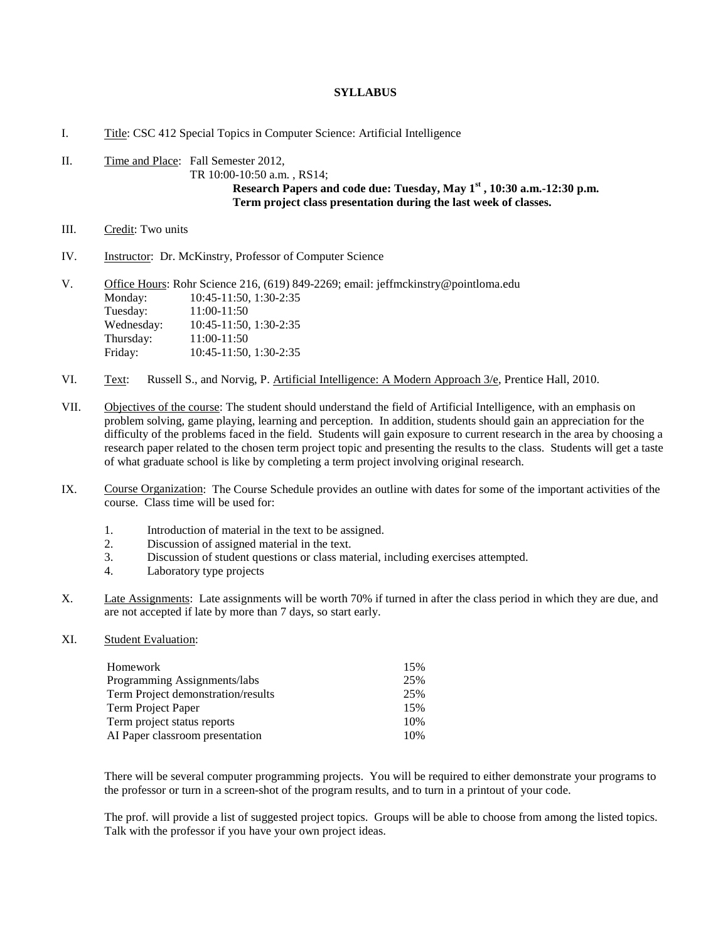## **SYLLABUS**

## I. Title: CSC 412 Special Topics in Computer Science: Artificial Intelligence

- II. Time and Place: Fall Semester 2012, TR 10:00-10:50 a.m. , RS14; **Research Papers and code due: Tuesday, May 1st , 10:30 a.m.-12:30 p.m. Term project class presentation during the last week of classes.**
- III. Credit: Two units
- IV. Instructor: Dr. McKinstry, Professor of Computer Science

| V. | Office Hours: Rohr Science 216, (619) 849-2269; email: jeffmckinstry@pointloma.edu |                             |  |
|----|------------------------------------------------------------------------------------|-----------------------------|--|
|    | Monday:                                                                            | $10:45-11:50$ , $1:30-2:35$ |  |
|    | Tuesday:                                                                           | 11:00-11:50                 |  |
|    | Wednesday:                                                                         | $10:45-11:50$ , $1:30-2:35$ |  |
|    | Thursday:                                                                          | 11:00-11:50                 |  |
|    | Friday:                                                                            | $10:45-11:50$ , $1:30-2:35$ |  |

- VI. Text: Russell S., and Norvig, P. Artificial Intelligence: A Modern Approach 3/e, Prentice Hall, 2010.
- VII. Objectives of the course: The student should understand the field of Artificial Intelligence, with an emphasis on problem solving, game playing, learning and perception. In addition, students should gain an appreciation for the difficulty of the problems faced in the field. Students will gain exposure to current research in the area by choosing a research paper related to the chosen term project topic and presenting the results to the class. Students will get a taste of what graduate school is like by completing a term project involving original research.
- IX. Course Organization: The Course Schedule provides an outline with dates for some of the important activities of the course. Class time will be used for:
	- 1. Introduction of material in the text to be assigned.
	- 2. Discussion of assigned material in the text.<br>3. Discussion of student questions or class ma
	- Discussion of student questions or class material, including exercises attempted.
	- 4. Laboratory type projects
- X. Late Assignments: Late assignments will be worth 70% if turned in after the class period in which they are due, and are not accepted if late by more than 7 days, so start early.
- XI. Student Evaluation:

| Homework                           | 15% |
|------------------------------------|-----|
| Programming Assignments/labs       | 25% |
| Term Project demonstration/results | 25% |
| Term Project Paper                 | 15% |
| Term project status reports        | 10% |
| AI Paper classroom presentation    | 10% |
|                                    |     |

There will be several computer programming projects. You will be required to either demonstrate your programs to the professor or turn in a screen-shot of the program results, and to turn in a printout of your code.

The prof. will provide a list of suggested project topics. Groups will be able to choose from among the listed topics. Talk with the professor if you have your own project ideas.